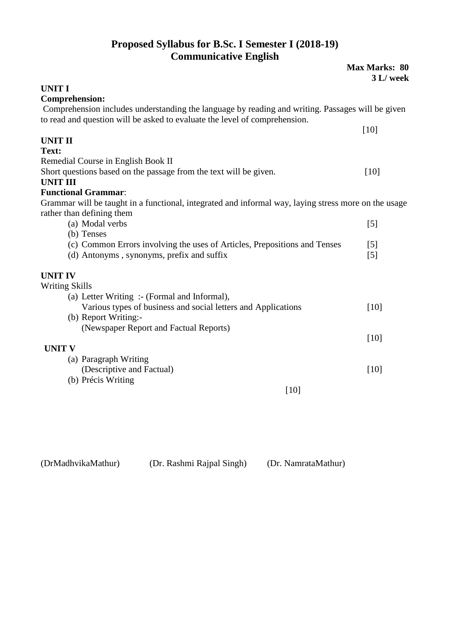#### **Proposed Syllabus for B.Sc. I Semester I (2018-19) Communicative English**

|                                                                                                                                                                                | <b>Max Marks: 80</b><br>3 L/ week |
|--------------------------------------------------------------------------------------------------------------------------------------------------------------------------------|-----------------------------------|
| <b>UNIT I</b>                                                                                                                                                                  |                                   |
| <b>Comprehension:</b>                                                                                                                                                          |                                   |
| Comprehension includes understanding the language by reading and writing. Passages will be given<br>to read and question will be asked to evaluate the level of comprehension. |                                   |
|                                                                                                                                                                                | $[10]$                            |
| <b>UNIT II</b>                                                                                                                                                                 |                                   |
| Text:                                                                                                                                                                          |                                   |
| Remedial Course in English Book II                                                                                                                                             |                                   |
| Short questions based on the passage from the text will be given.                                                                                                              | $[10]$                            |
| <b>UNIT III</b>                                                                                                                                                                |                                   |
| <b>Functional Grammar:</b>                                                                                                                                                     |                                   |
| Grammar will be taught in a functional, integrated and informal way, laying stress more on the usage<br>rather than defining them                                              |                                   |
| (a) Modal verbs                                                                                                                                                                | $[5]$                             |
| (b) Tenses                                                                                                                                                                     |                                   |
| (c) Common Errors involving the uses of Articles, Prepositions and Tenses                                                                                                      | $\lceil 5 \rceil$                 |
| (d) Antonyms, synonyms, prefix and suffix                                                                                                                                      | $\lceil 5 \rceil$                 |
| <b>UNIT IV</b>                                                                                                                                                                 |                                   |
| <b>Writing Skills</b>                                                                                                                                                          |                                   |
| (a) Letter Writing :- (Formal and Informal),                                                                                                                                   |                                   |
| Various types of business and social letters and Applications                                                                                                                  | [10]                              |
| (b) Report Writing:-                                                                                                                                                           |                                   |
| (Newspaper Report and Factual Reports)                                                                                                                                         |                                   |
|                                                                                                                                                                                | $[10]$                            |
| <b>UNIT V</b>                                                                                                                                                                  |                                   |
| (a) Paragraph Writing                                                                                                                                                          |                                   |
| (Descriptive and Factual)                                                                                                                                                      | $[10]$                            |
| (b) Précis Writing                                                                                                                                                             |                                   |
| $[10]$                                                                                                                                                                         |                                   |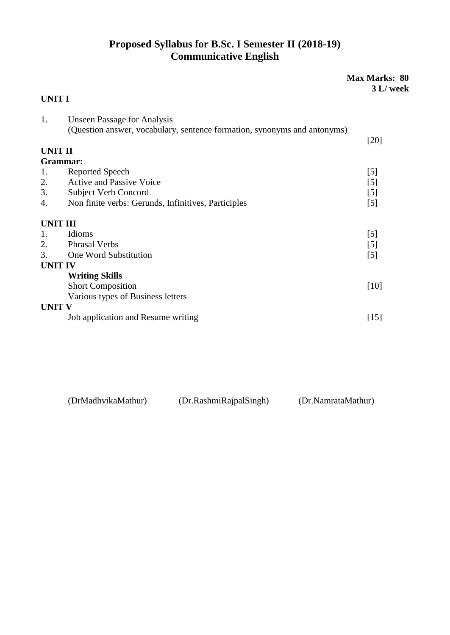### **Proposed Syllabus for B.Sc. I Semester II (2018-19) Communicative English**

|                 |                                                                          | <b>Max Marks: 80</b><br>3 L/ week |
|-----------------|--------------------------------------------------------------------------|-----------------------------------|
| <b>UNIT I</b>   |                                                                          |                                   |
| 1.              | <b>Unseen Passage for Analysis</b>                                       |                                   |
|                 | (Question answer, vocabulary, sentence formation, synonyms and antonyms) | $[20]$                            |
| <b>UNIT II</b>  |                                                                          |                                   |
| Grammar:        |                                                                          |                                   |
| 1.              | <b>Reported Speech</b>                                                   | [5]                               |
| 2.              | <b>Active and Passive Voice</b>                                          | $[5]$                             |
| 3.              | <b>Subject Verb Concord</b>                                              | [5]                               |
| 4.              | Non finite verbs: Gerunds, Infinitives, Participles                      | [5]                               |
| <b>UNIT III</b> |                                                                          |                                   |
| 1.              | Idioms                                                                   | [5]                               |
| 2.              | <b>Phrasal Verbs</b>                                                     | $[5]$                             |
| 3.              | One Word Substitution                                                    | $\lceil 5 \rceil$                 |
| <b>UNIT IV</b>  |                                                                          |                                   |
|                 | <b>Writing Skills</b>                                                    |                                   |
|                 | <b>Short Composition</b>                                                 | $[10]$                            |
|                 | Various types of Business letters                                        |                                   |
| <b>UNIT V</b>   |                                                                          |                                   |
|                 | Job application and Resume writing                                       | $[15]$                            |

| (DrMadhvikaMathur) | (Dr.RashmiRajpalSingh) | (Dr.NamrataMathur) |
|--------------------|------------------------|--------------------|
|--------------------|------------------------|--------------------|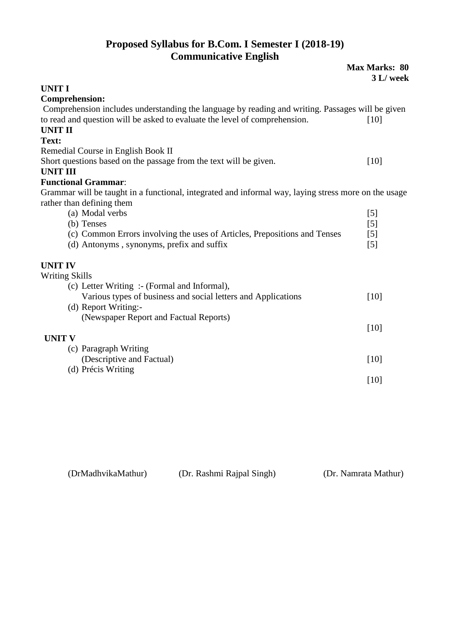### **Proposed Syllabus for B.Com. I Semester I (2018-19) Communicative English**

| Communicative English                                                                                |                                   |
|------------------------------------------------------------------------------------------------------|-----------------------------------|
|                                                                                                      | <b>Max Marks: 80</b><br>3 L/ week |
| <b>UNIT I</b>                                                                                        |                                   |
| <b>Comprehension:</b>                                                                                |                                   |
| Comprehension includes understanding the language by reading and writing. Passages will be given     |                                   |
| to read and question will be asked to evaluate the level of comprehension.                           | [10]                              |
| <b>UNIT II</b>                                                                                       |                                   |
| Text:                                                                                                |                                   |
| Remedial Course in English Book II                                                                   |                                   |
| Short questions based on the passage from the text will be given.                                    | $[10]$                            |
| <b>UNIT III</b><br><b>Functional Grammar:</b>                                                        |                                   |
| Grammar will be taught in a functional, integrated and informal way, laying stress more on the usage |                                   |
| rather than defining them                                                                            |                                   |
| (a) Modal verbs                                                                                      | [5]                               |
| (b) Tenses                                                                                           | $\lceil 5 \rceil$                 |
| (c) Common Errors involving the uses of Articles, Prepositions and Tenses                            | $\lceil 5 \rceil$                 |
| (d) Antonyms, synonyms, prefix and suffix                                                            | $\lceil 5 \rceil$                 |
| <b>UNIT IV</b>                                                                                       |                                   |
| <b>Writing Skills</b>                                                                                |                                   |
| (c) Letter Writing :- (Formal and Informal),                                                         |                                   |
| Various types of business and social letters and Applications                                        | [10]                              |
| (d) Report Writing:-                                                                                 |                                   |
| (Newspaper Report and Factual Reports)                                                               |                                   |
|                                                                                                      | [10]                              |
| <b>UNIT V</b>                                                                                        |                                   |
| (c) Paragraph Writing                                                                                |                                   |
| (Descriptive and Factual)                                                                            | $[10]$                            |
| (d) Précis Writing                                                                                   |                                   |
|                                                                                                      | $[10]$                            |

| (DrMadhvikaMathur) | (Dr. Rashmi Rajpal Singh) | (Dr. Namrata Mathur) |
|--------------------|---------------------------|----------------------|
|--------------------|---------------------------|----------------------|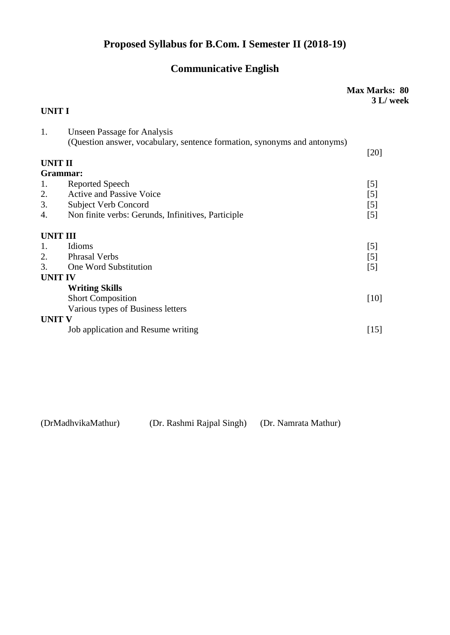# **Proposed Syllabus for B.Com. I Semester II (2018-19)**

# **Communicative English**

|                |                                                                          | <b>Max Marks: 80</b><br>3 L/ week |
|----------------|--------------------------------------------------------------------------|-----------------------------------|
| UNIT I         |                                                                          |                                   |
| 1.             | <b>Unseen Passage for Analysis</b>                                       |                                   |
|                | (Question answer, vocabulary, sentence formation, synonyms and antonyms) |                                   |
|                |                                                                          | $[20]$                            |
| UNIT II        |                                                                          |                                   |
| Grammar:       |                                                                          |                                   |
| 1.             | <b>Reported Speech</b>                                                   | $[5]$                             |
| 2.             | <b>Active and Passive Voice</b>                                          | [5]                               |
| 3.             | <b>Subject Verb Concord</b>                                              | [5]                               |
| 4.             | Non finite verbs: Gerunds, Infinitives, Participle                       | [5]                               |
| UNIT III       |                                                                          |                                   |
| 1.             | Idioms                                                                   | [5]                               |
| 2.             | <b>Phrasal Verbs</b>                                                     | [5]                               |
| 3.             | One Word Substitution                                                    | [5]                               |
| <b>UNIT IV</b> |                                                                          |                                   |
|                | <b>Writing Skills</b>                                                    |                                   |
|                | <b>Short Composition</b>                                                 | $[10]$                            |
|                | Various types of Business letters                                        |                                   |
| UNIT V         |                                                                          |                                   |
|                | Job application and Resume writing                                       | $[15]$                            |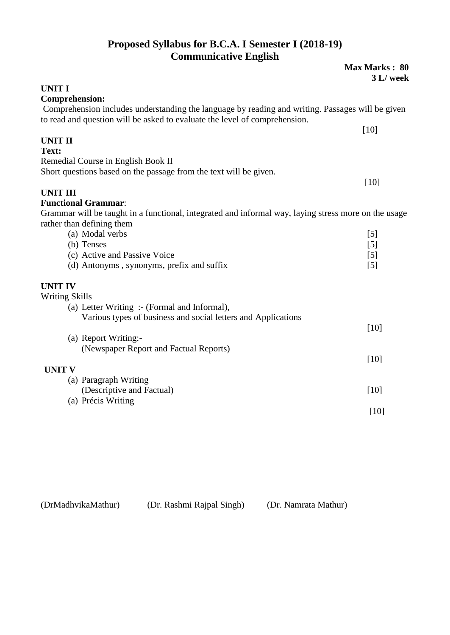#### **Proposed Syllabus for B.C.A. I Semester I (2018-19) Communicative English**

|                                                                                                                                                                                | Max Marks: 80<br>3 L/ week |
|--------------------------------------------------------------------------------------------------------------------------------------------------------------------------------|----------------------------|
| <b>UNIT I</b>                                                                                                                                                                  |                            |
| <b>Comprehension:</b>                                                                                                                                                          |                            |
| Comprehension includes understanding the language by reading and writing. Passages will be given<br>to read and question will be asked to evaluate the level of comprehension. |                            |
|                                                                                                                                                                                | [10]                       |
| <b>UNIT II</b>                                                                                                                                                                 |                            |
| Text:                                                                                                                                                                          |                            |
| Remedial Course in English Book II                                                                                                                                             |                            |
| Short questions based on the passage from the text will be given.                                                                                                              |                            |
|                                                                                                                                                                                | $[10]$                     |
| <b>UNIT III</b>                                                                                                                                                                |                            |
| <b>Functional Grammar:</b>                                                                                                                                                     |                            |
| Grammar will be taught in a functional, integrated and informal way, laying stress more on the usage<br>rather than defining them                                              |                            |
| (a) Modal verbs                                                                                                                                                                | [5]                        |
| (b) Tenses                                                                                                                                                                     | [5]                        |
| (c) Active and Passive Voice                                                                                                                                                   | [5]                        |
| (d) Antonyms, synonyms, prefix and suffix                                                                                                                                      | [5]                        |
| <b>UNIT IV</b>                                                                                                                                                                 |                            |
| <b>Writing Skills</b>                                                                                                                                                          |                            |
| (a) Letter Writing :- (Formal and Informal),                                                                                                                                   |                            |
| Various types of business and social letters and Applications                                                                                                                  |                            |
|                                                                                                                                                                                | [10]                       |
| (a) Report Writing:-                                                                                                                                                           |                            |
| (Newspaper Report and Factual Reports)                                                                                                                                         |                            |
|                                                                                                                                                                                | $[10]$                     |
| <b>UNIT V</b>                                                                                                                                                                  |                            |
| (a) Paragraph Writing                                                                                                                                                          |                            |
| (Descriptive and Factual)                                                                                                                                                      | [10]                       |
| (a) Précis Writing                                                                                                                                                             |                            |
|                                                                                                                                                                                | $[10]$                     |
|                                                                                                                                                                                |                            |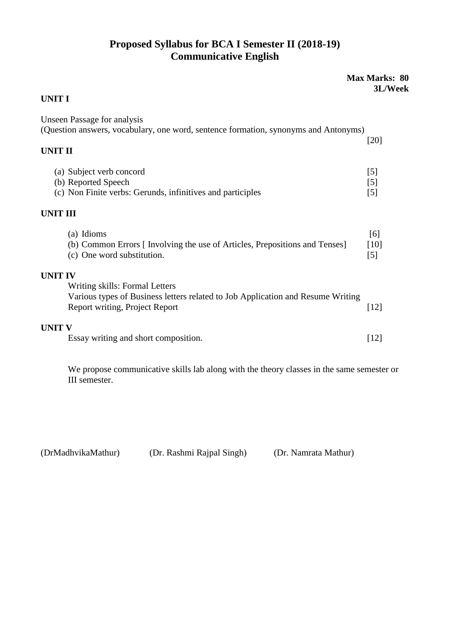### **Proposed Syllabus for BCA I Semester II (2018-19) Communicative English**

|                                                                                                                                                                       | <b>Max Marks: 80</b><br>3L/Week |
|-----------------------------------------------------------------------------------------------------------------------------------------------------------------------|---------------------------------|
| <b>UNIT I</b>                                                                                                                                                         |                                 |
| <b>Unseen Passage for analysis</b><br>(Question answers, vocabulary, one word, sentence formation, synonyms and Antonyms)<br><b>UNIT II</b>                           | [20]                            |
| (a) Subject verb concord<br>(b) Reported Speech<br>(c) Non Finite verbs: Gerunds, infinitives and participles                                                         | $\lceil 5 \rceil$<br>[5]<br>[5] |
| <b>UNIT III</b>                                                                                                                                                       |                                 |
| (a) Idioms<br>(b) Common Errors [ Involving the use of Articles, Prepositions and Tenses]<br>(c) One word substitution.                                               | [6]<br>$[10]$<br>[5]            |
| <b>UNIT IV</b><br>Writing skills: Formal Letters<br>Various types of Business letters related to Job Application and Resume Writing<br>Report writing, Project Report | $[12]$                          |
| <b>UNIT V</b><br>Essay writing and short composition.                                                                                                                 | [12]                            |

We propose communicative skills lab along with the theory classes in the same semester or III semester.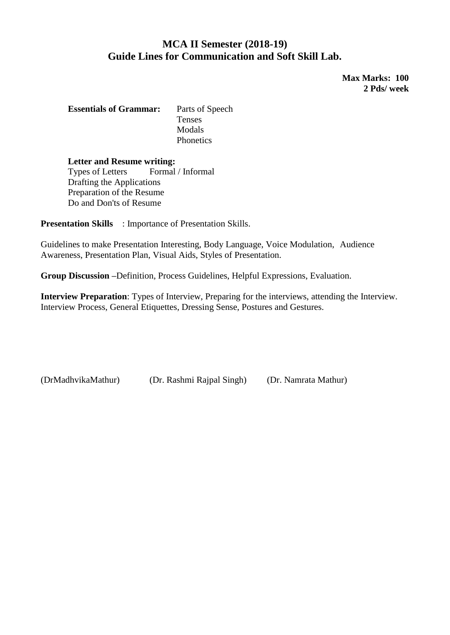#### **MCA II Semester (2018-19) Guide Lines for Communication and Soft Skill Lab.**

**Max Marks: 100 2 Pds/ week**

**Essentials of Grammar:** Parts of Speech Tenses Modals **Phonetics** 

**Letter and Resume writing:** Types of Letters Formal / Informal Drafting the Applications Preparation of the Resume Do and Don'ts of Resume

**Presentation Skills** : Importance of Presentation Skills.

Guidelines to make Presentation Interesting, Body Language, Voice Modulation, Audience Awareness, Presentation Plan, Visual Aids, Styles of Presentation.

**Group Discussion –**Definition, Process Guidelines, Helpful Expressions, Evaluation.

**Interview Preparation**: Types of Interview, Preparing for the interviews, attending the Interview. Interview Process, General Etiquettes, Dressing Sense, Postures and Gestures.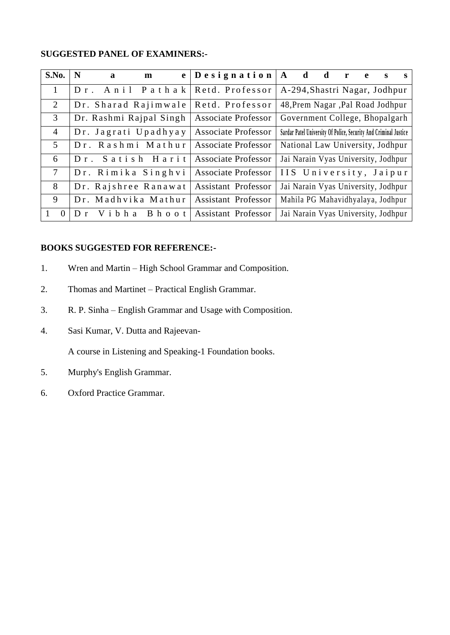#### **SUGGESTED PANEL OF EXAMINERS:-**

| S.No.           | N<br>$\mathbf{a}$       | e l<br>m         | $\vert$ Designation $\vert$ A d |                                                                  | $d \rightharpoonup r$ | e. | S | S. |
|-----------------|-------------------------|------------------|---------------------------------|------------------------------------------------------------------|-----------------------|----|---|----|
| $\mathbf{1}$    | Dr. Anil Pathak         |                  | Retd. Professor                 | A-294, Shastri Nagar, Jodhpur                                    |                       |    |   |    |
| 2               | Dr. Sharad Rajimwale    |                  | Retd. Professor                 | 48, Prem Nagar , Pal Road Jodhpur                                |                       |    |   |    |
| $\mathfrak{Z}$  | Dr. Rashmi Rajpal Singh |                  | Associate Professor             | Government College, Bhopalgarh                                   |                       |    |   |    |
| $\overline{4}$  | Dr. Jagrati Upadhyay    |                  | <b>Associate Professor</b>      | Sardar Patel University Of Police, Security And Criminal Justice |                       |    |   |    |
| $\overline{5}$  | Dr. Rashmi Mathur       |                  | <b>Associate Professor</b>      | National Law University, Jodhpur                                 |                       |    |   |    |
| 6               | Dr. Satish Harit        |                  | <b>Associate Professor</b>      | Jai Narain Vyas University, Jodhpur                              |                       |    |   |    |
| $7\overline{ }$ | Dr. Rimika Singhvi      |                  | <b>Associate Professor</b>      | IIS University, Jaipur                                           |                       |    |   |    |
| 8               | Dr. Rajshree Ranawat    |                  | <b>Assistant Professor</b>      | Jai Narain Vyas University, Jodhpur                              |                       |    |   |    |
| 9               | Dr. Madhvika Mathur     |                  | <b>Assistant Professor</b>      | Mahila PG Mahavidhyalaya, Jodhpur                                |                       |    |   |    |
| $\Omega$        | Vibha<br>$\mathbf{D}$ r | <b>B</b> h o o t | <b>Assistant Professor</b>      | Jai Narain Vyas University, Jodhpur                              |                       |    |   |    |

#### **BOOKS SUGGESTED FOR REFERENCE:-**

- 1. Wren and Martin High School Grammar and Composition.
- 2. Thomas and Martinet Practical English Grammar.
- 3. R. P. Sinha English Grammar and Usage with Composition.
- 4. Sasi Kumar, V. Dutta and Rajeevan-

A course in Listening and Speaking-1 Foundation books.

- 5. Murphy's English Grammar.
- 6. Oxford Practice Grammar.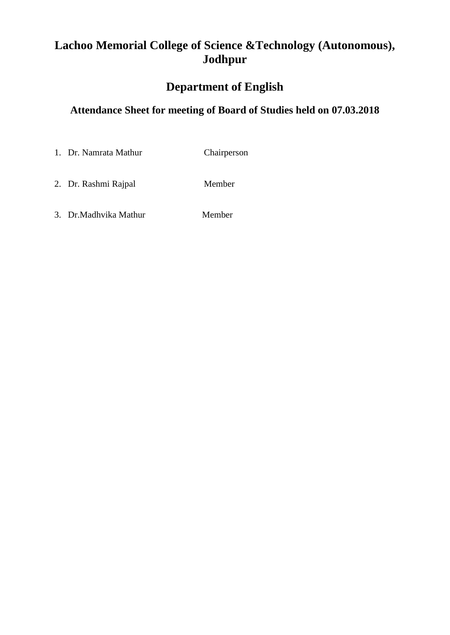## **Lachoo Memorial College of Science &Technology (Autonomous), Jodhpur**

## **Department of English**

### **Attendance Sheet for meeting of Board of Studies held on 07.03.2018**

- 1. Dr. Namrata Mathur Chairperson
- 2. Dr. Rashmi Rajpal Member
- 3. Dr.Madhvika Mathur Member